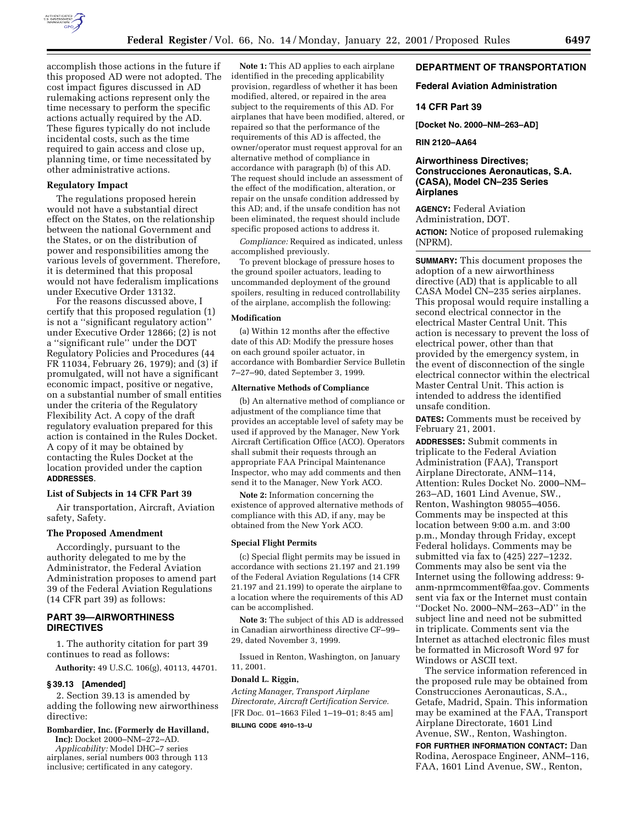

accomplish those actions in the future if this proposed AD were not adopted. The cost impact figures discussed in AD rulemaking actions represent only the time necessary to perform the specific actions actually required by the AD. These figures typically do not include incidental costs, such as the time required to gain access and close up, planning time, or time necessitated by other administrative actions.

#### **Regulatory Impact**

The regulations proposed herein would not have a substantial direct effect on the States, on the relationship between the national Government and the States, or on the distribution of power and responsibilities among the various levels of government. Therefore, it is determined that this proposal would not have federalism implications under Executive Order 13132.

For the reasons discussed above, I certify that this proposed regulation (1) is not a ''significant regulatory action'' under Executive Order 12866; (2) is not a ''significant rule'' under the DOT Regulatory Policies and Procedures (44 FR 11034, February 26, 1979); and (3) if promulgated, will not have a significant economic impact, positive or negative, on a substantial number of small entities under the criteria of the Regulatory Flexibility Act. A copy of the draft regulatory evaluation prepared for this action is contained in the Rules Docket. A copy of it may be obtained by contacting the Rules Docket at the location provided under the caption **ADDRESSES**.

#### **List of Subjects in 14 CFR Part 39**

Air transportation, Aircraft, Aviation safety, Safety.

### **The Proposed Amendment**

Accordingly, pursuant to the authority delegated to me by the Administrator, the Federal Aviation Administration proposes to amend part 39 of the Federal Aviation Regulations (14 CFR part 39) as follows:

# **PART 39—AIRWORTHINESS DIRECTIVES**

1. The authority citation for part 39 continues to read as follows:

**Authority:** 49 U.S.C. 106(g), 40113, 44701.

#### **§ 39.13 [Amended]**

2. Section 39.13 is amended by adding the following new airworthiness directive:

### **Bombardier, Inc. (Formerly de Havilland, Inc):** Docket 2000–NM–272–AD.

*Applicability:* Model DHC–7 series

airplanes, serial numbers 003 through 113 inclusive; certificated in any category.

**Note 1:** This AD applies to each airplane identified in the preceding applicability provision, regardless of whether it has been modified, altered, or repaired in the area subject to the requirements of this AD. For airplanes that have been modified, altered, or repaired so that the performance of the requirements of this AD is affected, the owner/operator must request approval for an alternative method of compliance in accordance with paragraph (b) of this AD. The request should include an assessment of the effect of the modification, alteration, or repair on the unsafe condition addressed by this AD; and, if the unsafe condition has not been eliminated, the request should include specific proposed actions to address it.

*Compliance:* Required as indicated, unless accomplished previously.

To prevent blockage of pressure hoses to the ground spoiler actuators, leading to uncommanded deployment of the ground spoilers, resulting in reduced controllability of the airplane, accomplish the following:

#### **Modification**

(a) Within 12 months after the effective date of this AD: Modify the pressure hoses on each ground spoiler actuator, in accordance with Bombardier Service Bulletin 7–27–90, dated September 3, 1999.

### **Alternative Methods of Compliance**

(b) An alternative method of compliance or adjustment of the compliance time that provides an acceptable level of safety may be used if approved by the Manager, New York Aircraft Certification Office (ACO). Operators shall submit their requests through an appropriate FAA Principal Maintenance Inspector, who may add comments and then send it to the Manager, New York ACO.

**Note 2:** Information concerning the existence of approved alternative methods of compliance with this AD, if any, may be obtained from the New York ACO.

#### **Special Flight Permits**

(c) Special flight permits may be issued in accordance with sections 21.197 and 21.199 of the Federal Aviation Regulations (14 CFR 21.197 and 21.199) to operate the airplane to a location where the requirements of this AD can be accomplished.

**Note 3:** The subject of this AD is addressed in Canadian airworthiness directive CF–99– 29, dated November 3, 1999.

Issued in Renton, Washington, on January 11, 2001.

#### **Donald L. Riggin,**

*Acting Manager, Transport Airplane Directorate, Aircraft Certification Service.* [FR Doc. 01–1663 Filed 1–19–01; 8:45 am]

**BILLING CODE 4910–13–U**

# **DEPARTMENT OF TRANSPORTATION**

## **Federal Aviation Administration**

### **14 CFR Part 39**

**[Docket No. 2000–NM–263–AD]**

## **RIN 2120–AA64**

# **Airworthiness Directives; Construcciones Aeronauticas, S.A. (CASA), Model CN–235 Series Airplanes**

**AGENCY:** Federal Aviation Administration, DOT.

**ACTION:** Notice of proposed rulemaking (NPRM).

**SUMMARY:** This document proposes the adoption of a new airworthiness directive (AD) that is applicable to all CASA Model CN–235 series airplanes. This proposal would require installing a second electrical connector in the electrical Master Central Unit. This action is necessary to prevent the loss of electrical power, other than that provided by the emergency system, in the event of disconnection of the single electrical connector within the electrical Master Central Unit. This action is intended to address the identified unsafe condition.

**DATES:** Comments must be received by February 21, 2001.

**ADDRESSES:** Submit comments in triplicate to the Federal Aviation Administration (FAA), Transport Airplane Directorate, ANM–114, Attention: Rules Docket No. 2000–NM– 263–AD, 1601 Lind Avenue, SW., Renton, Washington 98055–4056. Comments may be inspected at this location between 9:00 a.m. and 3:00 p.m., Monday through Friday, except Federal holidays. Comments may be submitted via fax to (425) 227–1232. Comments may also be sent via the Internet using the following address: 9 anm-nprmcomment@faa.gov. Comments sent via fax or the Internet must contain ''Docket No. 2000–NM–263–AD'' in the subject line and need not be submitted in triplicate. Comments sent via the Internet as attached electronic files must be formatted in Microsoft Word 97 for Windows or ASCII text.

The service information referenced in the proposed rule may be obtained from Construcciones Aeronauticas, S.A., Getafe, Madrid, Spain. This information may be examined at the FAA, Transport Airplane Directorate, 1601 Lind Avenue, SW., Renton, Washington.

**FOR FURTHER INFORMATION CONTACT:** Dan Rodina, Aerospace Engineer, ANM–116, FAA, 1601 Lind Avenue, SW., Renton,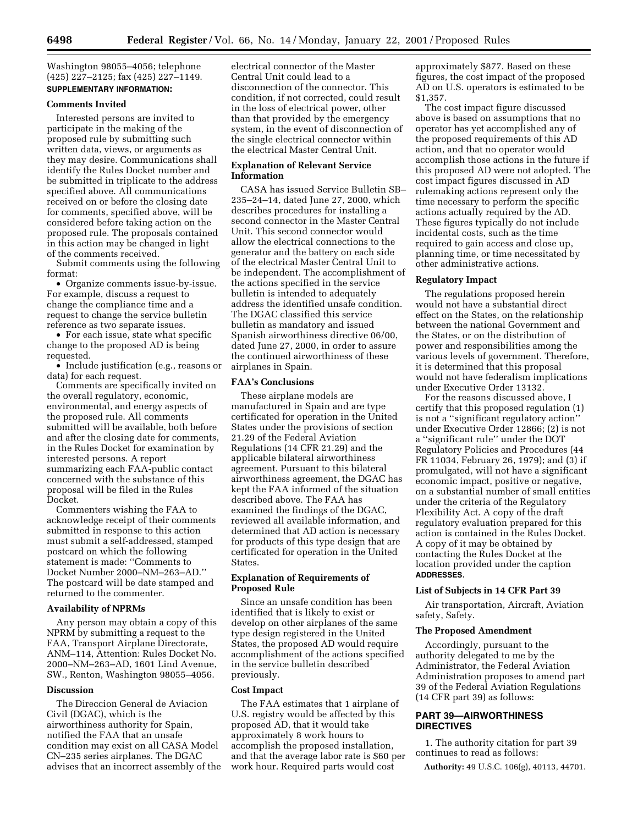Washington 98055–4056; telephone (425) 227–2125; fax (425) 227–1149. **SUPPLEMENTARY INFORMATION:**

## **Comments Invited**

Interested persons are invited to participate in the making of the proposed rule by submitting such written data, views, or arguments as they may desire. Communications shall identify the Rules Docket number and be submitted in triplicate to the address specified above. All communications received on or before the closing date for comments, specified above, will be considered before taking action on the proposed rule. The proposals contained in this action may be changed in light of the comments received.

Submit comments using the following format:

• Organize comments issue-by-issue. For example, discuss a request to change the compliance time and a request to change the service bulletin reference as two separate issues.

• For each issue, state what specific change to the proposed AD is being requested.

• Include justification (e.g., reasons or data) for each request.

Comments are specifically invited on the overall regulatory, economic, environmental, and energy aspects of the proposed rule. All comments submitted will be available, both before and after the closing date for comments, in the Rules Docket for examination by interested persons. A report summarizing each FAA-public contact concerned with the substance of this proposal will be filed in the Rules Docket.

Commenters wishing the FAA to acknowledge receipt of their comments submitted in response to this action must submit a self-addressed, stamped postcard on which the following statement is made: ''Comments to Docket Number 2000–NM–263–AD.'' The postcard will be date stamped and returned to the commenter.

### **Availability of NPRMs**

Any person may obtain a copy of this NPRM by submitting a request to the FAA, Transport Airplane Directorate, ANM–114, Attention: Rules Docket No. 2000–NM–263–AD, 1601 Lind Avenue, SW., Renton, Washington 98055–4056.

### **Discussion**

The Direccion General de Aviacion Civil (DGAC), which is the airworthiness authority for Spain, notified the FAA that an unsafe condition may exist on all CASA Model CN–235 series airplanes. The DGAC advises that an incorrect assembly of the electrical connector of the Master Central Unit could lead to a disconnection of the connector. This condition, if not corrected, could result in the loss of electrical power, other than that provided by the emergency system, in the event of disconnection of the single electrical connector within the electrical Master Central Unit.

# **Explanation of Relevant Service Information**

CASA has issued Service Bulletin SB– 235–24–14, dated June 27, 2000, which describes procedures for installing a second connector in the Master Central Unit. This second connector would allow the electrical connections to the generator and the battery on each side of the electrical Master Central Unit to be independent. The accomplishment of the actions specified in the service bulletin is intended to adequately address the identified unsafe condition. The DGAC classified this service bulletin as mandatory and issued Spanish airworthiness directive 06/00, dated June 27, 2000, in order to assure the continued airworthiness of these airplanes in Spain.

## **FAA's Conclusions**

These airplane models are manufactured in Spain and are type certificated for operation in the United States under the provisions of section 21.29 of the Federal Aviation Regulations (14 CFR 21.29) and the applicable bilateral airworthiness agreement. Pursuant to this bilateral airworthiness agreement, the DGAC has kept the FAA informed of the situation described above. The FAA has examined the findings of the DGAC, reviewed all available information, and determined that AD action is necessary for products of this type design that are certificated for operation in the United States.

# **Explanation of Requirements of Proposed Rule**

Since an unsafe condition has been identified that is likely to exist or develop on other airplanes of the same type design registered in the United States, the proposed AD would require accomplishment of the actions specified in the service bulletin described previously.

# **Cost Impact**

The FAA estimates that 1 airplane of U.S. registry would be affected by this proposed AD, that it would take approximately 8 work hours to accomplish the proposed installation, and that the average labor rate is \$60 per work hour. Required parts would cost

approximately \$877. Based on these figures, the cost impact of the proposed AD on U.S. operators is estimated to be \$1,357.

The cost impact figure discussed above is based on assumptions that no operator has yet accomplished any of the proposed requirements of this AD action, and that no operator would accomplish those actions in the future if this proposed AD were not adopted. The cost impact figures discussed in AD rulemaking actions represent only the time necessary to perform the specific actions actually required by the AD. These figures typically do not include incidental costs, such as the time required to gain access and close up, planning time, or time necessitated by other administrative actions.

## **Regulatory Impact**

The regulations proposed herein would not have a substantial direct effect on the States, on the relationship between the national Government and the States, or on the distribution of power and responsibilities among the various levels of government. Therefore, it is determined that this proposal would not have federalism implications under Executive Order 13132.

For the reasons discussed above, I certify that this proposed regulation (1) is not a ''significant regulatory action'' under Executive Order 12866; (2) is not a ''significant rule'' under the DOT Regulatory Policies and Procedures (44 FR 11034, February 26, 1979); and (3) if promulgated, will not have a significant economic impact, positive or negative, on a substantial number of small entities under the criteria of the Regulatory Flexibility Act. A copy of the draft regulatory evaluation prepared for this action is contained in the Rules Docket. A copy of it may be obtained by contacting the Rules Docket at the location provided under the caption **ADDRESSES**.

## **List of Subjects in 14 CFR Part 39**

Air transportation, Aircraft, Aviation safety, Safety.

## **The Proposed Amendment**

Accordingly, pursuant to the authority delegated to me by the Administrator, the Federal Aviation Administration proposes to amend part 39 of the Federal Aviation Regulations (14 CFR part 39) as follows:

# **PART 39—AIRWORTHINESS DIRECTIVES**

1. The authority citation for part 39 continues to read as follows:

**Authority:** 49 U.S.C. 106(g), 40113, 44701.